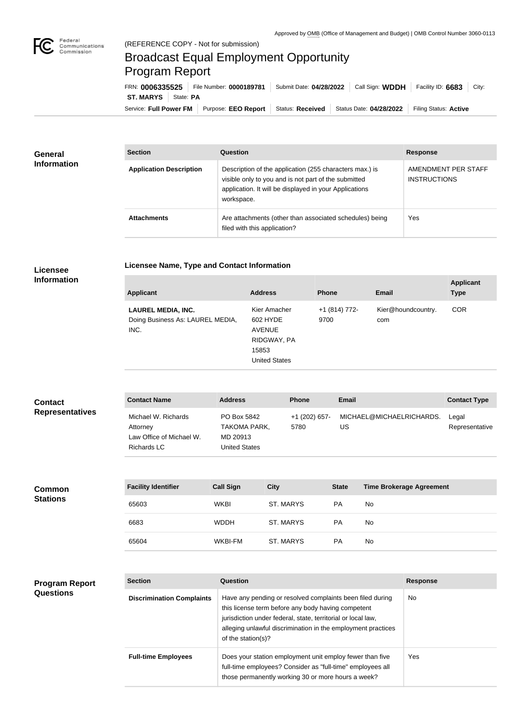## Broadcast Equal Employment Opportunity Program Report

**Licensee Name, Type and Contact Information**

Service: Full Power FM Purpose: EEO Report | Status: Received | Status Date: 04/28/2022 | Filing Status: Active **ST. MARYS** | State: PA FRN: **0006335525** File Number: **0000189781** Submit Date: **04/28/2022** Call Sign: **WDDH** Facility ID: **6683** City:

| General            | <b>Section</b>                 | <b>Question</b>                                                                                                                                                                         | <b>Response</b>                            |
|--------------------|--------------------------------|-----------------------------------------------------------------------------------------------------------------------------------------------------------------------------------------|--------------------------------------------|
| <b>Information</b> | <b>Application Description</b> | Description of the application (255 characters max.) is<br>visible only to you and is not part of the submitted<br>application. It will be displayed in your Applications<br>workspace. | AMENDMENT PER STAFF<br><b>INSTRUCTIONS</b> |
|                    | <b>Attachments</b>             | Are attachments (other than associated schedules) being<br>filed with this application?                                                                                                 | Yes                                        |

## **Licensee Information**

| <b>Applicant</b>                                                      | <b>Address</b>                                                                            | <b>Phone</b>          | <b>Email</b>              | <b>Applicant</b><br><b>Type</b> |
|-----------------------------------------------------------------------|-------------------------------------------------------------------------------------------|-----------------------|---------------------------|---------------------------------|
| <b>LAUREL MEDIA, INC.</b><br>Doing Business As: LAUREL MEDIA,<br>INC. | Kier Amacher<br>602 HYDE<br><b>AVENUE</b><br>RIDGWAY, PA<br>15853<br><b>United States</b> | +1 (814) 772-<br>9700 | Kier@houndcountry.<br>com | <b>COR</b>                      |

| <b>Contact</b>         | <b>Contact Name</b>                                                               | <b>Address</b>                                                  | <b>Phone</b>          | <b>Email</b>                   | <b>Contact Type</b>     |
|------------------------|-----------------------------------------------------------------------------------|-----------------------------------------------------------------|-----------------------|--------------------------------|-------------------------|
| <b>Representatives</b> | Michael W. Richards<br>Attorney<br>Law Office of Michael W.<br><b>Richards LC</b> | PO Box 5842<br><b>TAKOMA PARK,</b><br>MD 20913<br>United States | +1 (202) 657-<br>5780 | MICHAEL@MICHAELRICHARDS.<br>US | Legal<br>Representative |

| <b>Common</b><br><b>Stations</b> | <b>Facility Identifier</b> | <b>Call Sign</b> | <b>City</b>      | <b>State</b> | <b>Time Brokerage Agreement</b> |
|----------------------------------|----------------------------|------------------|------------------|--------------|---------------------------------|
|                                  | 65603                      | <b>WKBI</b>      | <b>ST. MARYS</b> | <b>PA</b>    | <b>No</b>                       |
|                                  | 6683                       | <b>WDDH</b>      | <b>ST. MARYS</b> | <b>PA</b>    | <b>No</b>                       |
|                                  | 65604                      | WKBI-FM          | <b>ST. MARYS</b> | PA           | <b>No</b>                       |

## **Program Report Questions**

| <b>Section</b>                   | Question                                                                                                                                                                                                                                                              | <b>Response</b> |
|----------------------------------|-----------------------------------------------------------------------------------------------------------------------------------------------------------------------------------------------------------------------------------------------------------------------|-----------------|
| <b>Discrimination Complaints</b> | Have any pending or resolved complaints been filed during<br>this license term before any body having competent<br>jurisdiction under federal, state, territorial or local law,<br>alleging unlawful discrimination in the employment practices<br>of the station(s)? | <b>No</b>       |
| <b>Full-time Employees</b>       | Does your station employment unit employ fewer than five<br>full-time employees? Consider as "full-time" employees all<br>those permanently working 30 or more hours a week?                                                                                          | Yes             |